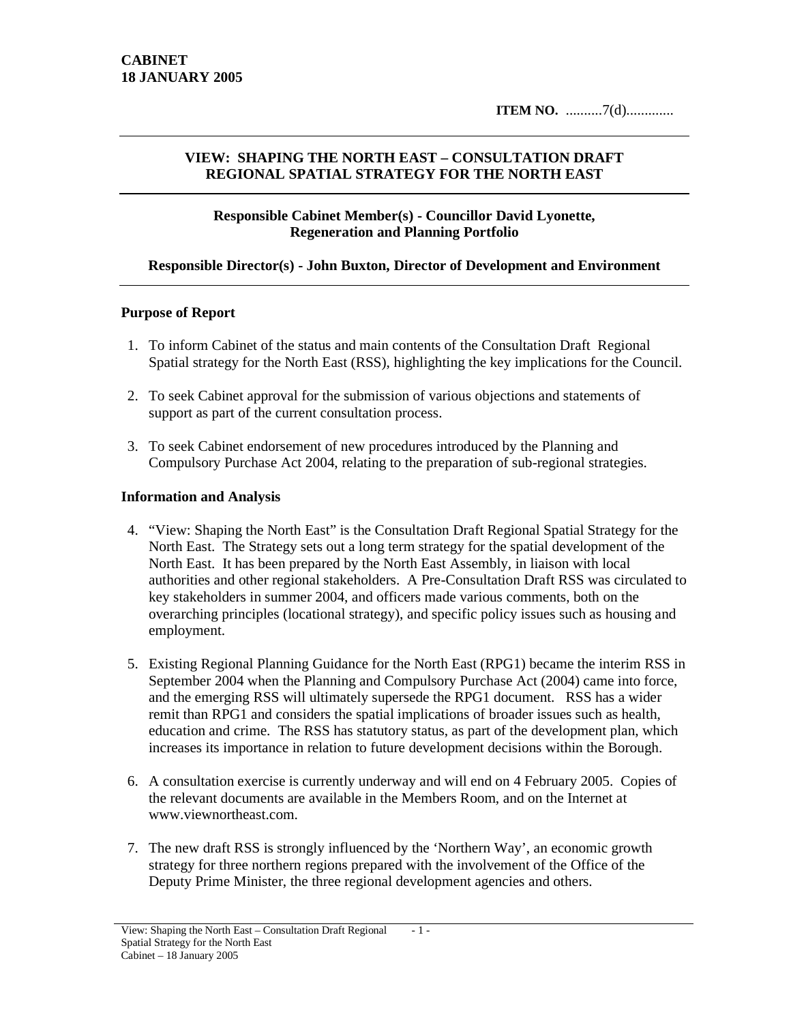## **VIEW: SHAPING THE NORTH EAST – CONSULTATION DRAFT REGIONAL SPATIAL STRATEGY FOR THE NORTH EAST**

### **Responsible Cabinet Member(s) - Councillor David Lyonette, Regeneration and Planning Portfolio**

### **Responsible Director(s) - John Buxton, Director of Development and Environment**

#### **Purpose of Report**

- 1. To inform Cabinet of the status and main contents of the Consultation Draft Regional Spatial strategy for the North East (RSS), highlighting the key implications for the Council.
- 2. To seek Cabinet approval for the submission of various objections and statements of support as part of the current consultation process.
- 3. To seek Cabinet endorsement of new procedures introduced by the Planning and Compulsory Purchase Act 2004, relating to the preparation of sub-regional strategies.

#### **Information and Analysis**

- 4. "View: Shaping the North East" is the Consultation Draft Regional Spatial Strategy for the North East. The Strategy sets out a long term strategy for the spatial development of the North East. It has been prepared by the North East Assembly, in liaison with local authorities and other regional stakeholders. A Pre-Consultation Draft RSS was circulated to key stakeholders in summer 2004, and officers made various comments, both on the overarching principles (locational strategy), and specific policy issues such as housing and employment.
- 5. Existing Regional Planning Guidance for the North East (RPG1) became the interim RSS in September 2004 when the Planning and Compulsory Purchase Act (2004) came into force, and the emerging RSS will ultimately supersede the RPG1 document. RSS has a wider remit than RPG1 and considers the spatial implications of broader issues such as health, education and crime. The RSS has statutory status, as part of the development plan, which increases its importance in relation to future development decisions within the Borough.
- 6. A consultation exercise is currently underway and will end on 4 February 2005. Copies of the relevant documents are available in the Members Room, and on the Internet at www.viewnortheast.com.
- 7. The new draft RSS is strongly influenced by the 'Northern Way', an economic growth strategy for three northern regions prepared with the involvement of the Office of the Deputy Prime Minister, the three regional development agencies and others.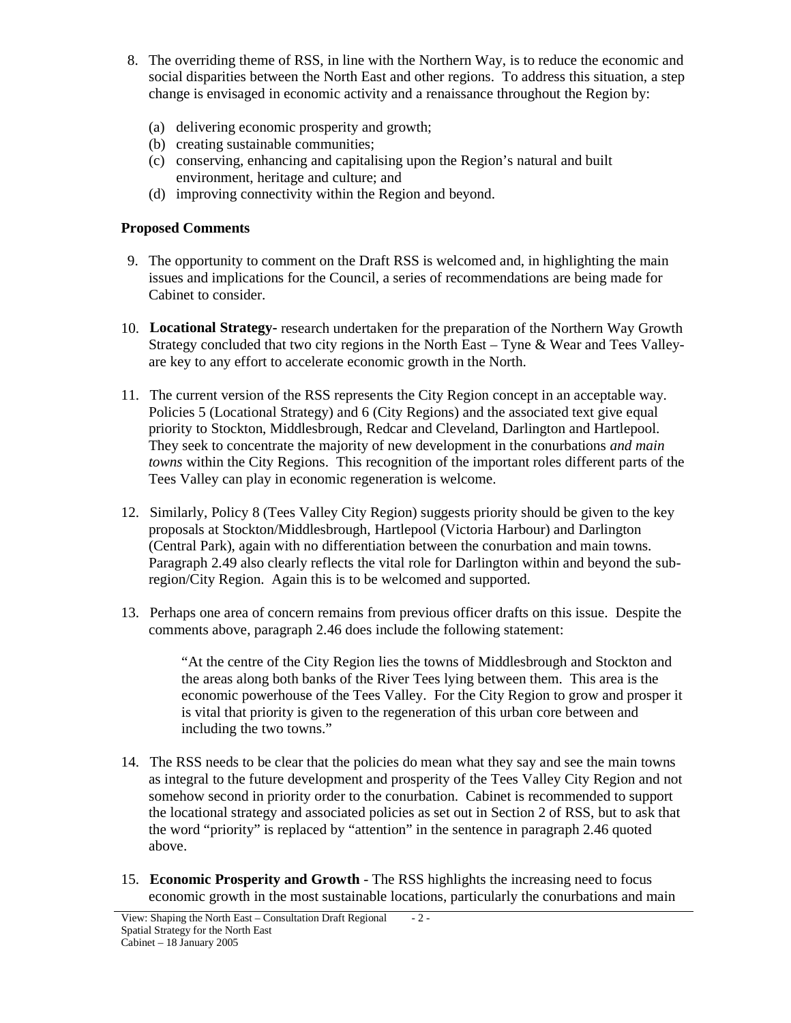- 8. The overriding theme of RSS, in line with the Northern Way, is to reduce the economic and social disparities between the North East and other regions. To address this situation, a step change is envisaged in economic activity and a renaissance throughout the Region by:
	- (a) delivering economic prosperity and growth;
	- (b) creating sustainable communities;
	- (c) conserving, enhancing and capitalising upon the Region's natural and built environment, heritage and culture; and
	- (d) improving connectivity within the Region and beyond.

## **Proposed Comments**

- 9. The opportunity to comment on the Draft RSS is welcomed and, in highlighting the main issues and implications for the Council, a series of recommendations are being made for Cabinet to consider.
- 10. **Locational Strategy-** research undertaken for the preparation of the Northern Way Growth Strategy concluded that two city regions in the North East – Tyne & Wear and Tees Valleyare key to any effort to accelerate economic growth in the North.
- 11. The current version of the RSS represents the City Region concept in an acceptable way. Policies 5 (Locational Strategy) and 6 (City Regions) and the associated text give equal priority to Stockton, Middlesbrough, Redcar and Cleveland, Darlington and Hartlepool. They seek to concentrate the majority of new development in the conurbations *and main towns* within the City Regions. This recognition of the important roles different parts of the Tees Valley can play in economic regeneration is welcome.
- 12. Similarly, Policy 8 (Tees Valley City Region) suggests priority should be given to the key proposals at Stockton/Middlesbrough, Hartlepool (Victoria Harbour) and Darlington (Central Park), again with no differentiation between the conurbation and main towns. Paragraph 2.49 also clearly reflects the vital role for Darlington within and beyond the subregion/City Region. Again this is to be welcomed and supported.
- 13. Perhaps one area of concern remains from previous officer drafts on this issue. Despite the comments above, paragraph 2.46 does include the following statement:

"At the centre of the City Region lies the towns of Middlesbrough and Stockton and the areas along both banks of the River Tees lying between them. This area is the economic powerhouse of the Tees Valley. For the City Region to grow and prosper it is vital that priority is given to the regeneration of this urban core between and including the two towns."

- 14. The RSS needs to be clear that the policies do mean what they say and see the main towns as integral to the future development and prosperity of the Tees Valley City Region and not somehow second in priority order to the conurbation. Cabinet is recommended to support the locational strategy and associated policies as set out in Section 2 of RSS, but to ask that the word "priority" is replaced by "attention" in the sentence in paragraph 2.46 quoted above.
- 15. **Economic Prosperity and Growth** The RSS highlights the increasing need to focus economic growth in the most sustainable locations, particularly the conurbations and main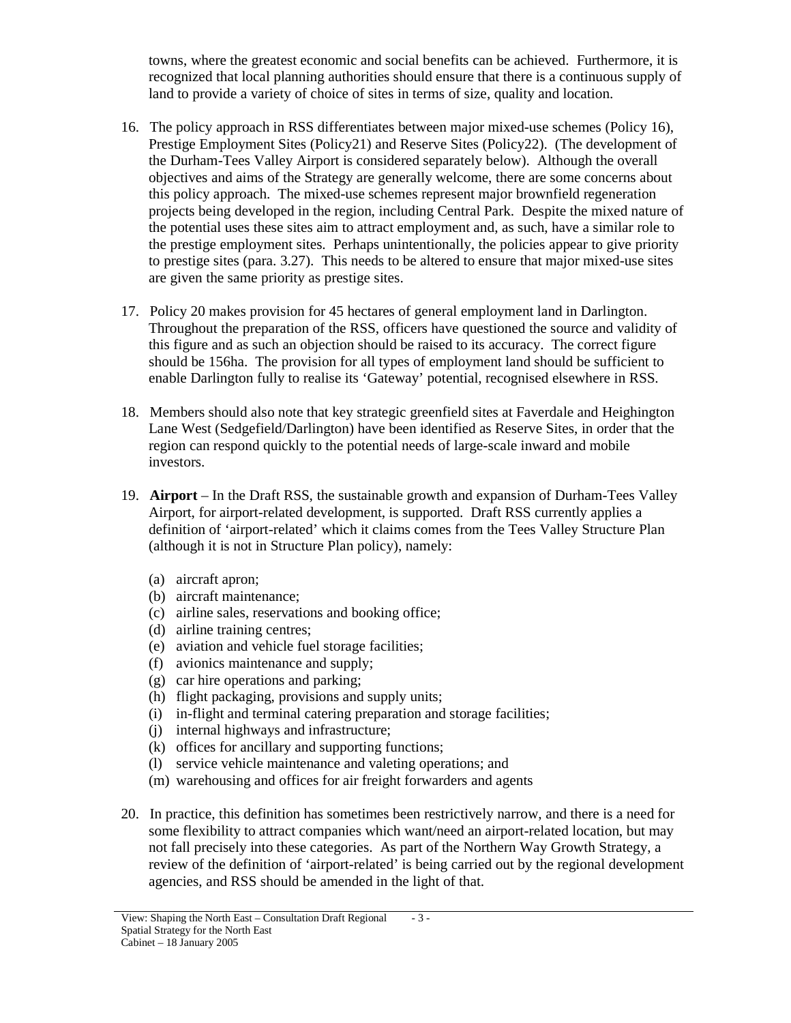towns, where the greatest economic and social benefits can be achieved. Furthermore, it is recognized that local planning authorities should ensure that there is a continuous supply of land to provide a variety of choice of sites in terms of size, quality and location.

- 16. The policy approach in RSS differentiates between major mixed-use schemes (Policy 16), Prestige Employment Sites (Policy21) and Reserve Sites (Policy22). (The development of the Durham-Tees Valley Airport is considered separately below). Although the overall objectives and aims of the Strategy are generally welcome, there are some concerns about this policy approach. The mixed-use schemes represent major brownfield regeneration projects being developed in the region, including Central Park. Despite the mixed nature of the potential uses these sites aim to attract employment and, as such, have a similar role to the prestige employment sites. Perhaps unintentionally, the policies appear to give priority to prestige sites (para. 3.27). This needs to be altered to ensure that major mixed-use sites are given the same priority as prestige sites.
- 17. Policy 20 makes provision for 45 hectares of general employment land in Darlington. Throughout the preparation of the RSS, officers have questioned the source and validity of this figure and as such an objection should be raised to its accuracy. The correct figure should be 156ha. The provision for all types of employment land should be sufficient to enable Darlington fully to realise its 'Gateway' potential, recognised elsewhere in RSS.
- 18. Members should also note that key strategic greenfield sites at Faverdale and Heighington Lane West (Sedgefield/Darlington) have been identified as Reserve Sites, in order that the region can respond quickly to the potential needs of large-scale inward and mobile investors.
- 19. **Airport** In the Draft RSS, the sustainable growth and expansion of Durham-Tees Valley Airport, for airport-related development, is supported. Draft RSS currently applies a definition of 'airport-related' which it claims comes from the Tees Valley Structure Plan (although it is not in Structure Plan policy), namely:
	- (a) aircraft apron;
	- (b) aircraft maintenance;
	- (c) airline sales, reservations and booking office;
	- (d) airline training centres;
	- (e) aviation and vehicle fuel storage facilities;
	- (f) avionics maintenance and supply;
	- (g) car hire operations and parking;
	- (h) flight packaging, provisions and supply units;
	- (i) in-flight and terminal catering preparation and storage facilities;
	- (j) internal highways and infrastructure;
	- (k) offices for ancillary and supporting functions;
	- (l) service vehicle maintenance and valeting operations; and
	- (m) warehousing and offices for air freight forwarders and agents
- 20. In practice, this definition has sometimes been restrictively narrow, and there is a need for some flexibility to attract companies which want/need an airport-related location, but may not fall precisely into these categories. As part of the Northern Way Growth Strategy, a review of the definition of 'airport-related' is being carried out by the regional development agencies, and RSS should be amended in the light of that.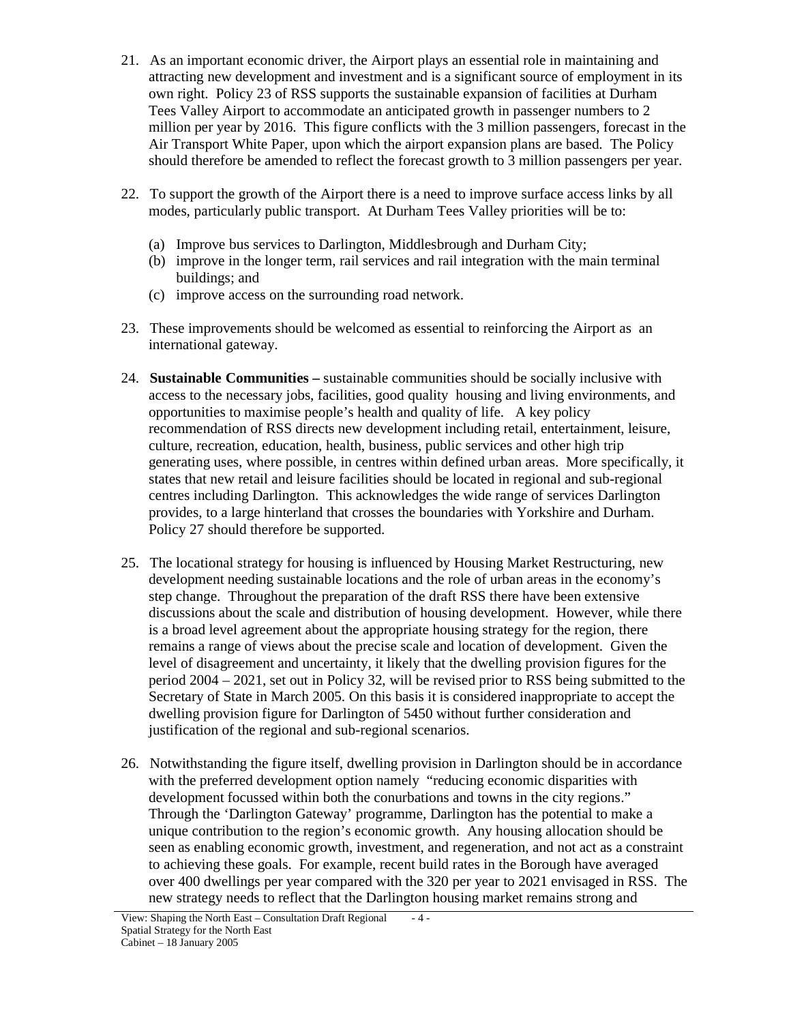- 21. As an important economic driver, the Airport plays an essential role in maintaining and attracting new development and investment and is a significant source of employment in its own right. Policy 23 of RSS supports the sustainable expansion of facilities at Durham Tees Valley Airport to accommodate an anticipated growth in passenger numbers to 2 million per year by 2016. This figure conflicts with the 3 million passengers, forecast in the Air Transport White Paper, upon which the airport expansion plans are based. The Policy should therefore be amended to reflect the forecast growth to 3 million passengers per year.
- 22. To support the growth of the Airport there is a need to improve surface access links by all modes, particularly public transport. At Durham Tees Valley priorities will be to:
	- (a) Improve bus services to Darlington, Middlesbrough and Durham City;
	- (b) improve in the longer term, rail services and rail integration with the main terminal buildings; and
	- (c) improve access on the surrounding road network.
- 23. These improvements should be welcomed as essential to reinforcing the Airport as an international gateway.
- 24. **Sustainable Communities –** sustainable communities should be socially inclusive with access to the necessary jobs, facilities, good quality housing and living environments, and opportunities to maximise people's health and quality of life. A key policy recommendation of RSS directs new development including retail, entertainment, leisure, culture, recreation, education, health, business, public services and other high trip generating uses, where possible, in centres within defined urban areas. More specifically, it states that new retail and leisure facilities should be located in regional and sub-regional centres including Darlington. This acknowledges the wide range of services Darlington provides, to a large hinterland that crosses the boundaries with Yorkshire and Durham. Policy 27 should therefore be supported.
- 25. The locational strategy for housing is influenced by Housing Market Restructuring, new development needing sustainable locations and the role of urban areas in the economy's step change. Throughout the preparation of the draft RSS there have been extensive discussions about the scale and distribution of housing development. However, while there is a broad level agreement about the appropriate housing strategy for the region, there remains a range of views about the precise scale and location of development. Given the level of disagreement and uncertainty, it likely that the dwelling provision figures for the period 2004 – 2021, set out in Policy 32, will be revised prior to RSS being submitted to the Secretary of State in March 2005. On this basis it is considered inappropriate to accept the dwelling provision figure for Darlington of 5450 without further consideration and justification of the regional and sub-regional scenarios.
- 26. Notwithstanding the figure itself, dwelling provision in Darlington should be in accordance with the preferred development option namely "reducing economic disparities with development focussed within both the conurbations and towns in the city regions." Through the 'Darlington Gateway' programme, Darlington has the potential to make a unique contribution to the region's economic growth. Any housing allocation should be seen as enabling economic growth, investment, and regeneration, and not act as a constraint to achieving these goals. For example, recent build rates in the Borough have averaged over 400 dwellings per year compared with the 320 per year to 2021 envisaged in RSS. The new strategy needs to reflect that the Darlington housing market remains strong and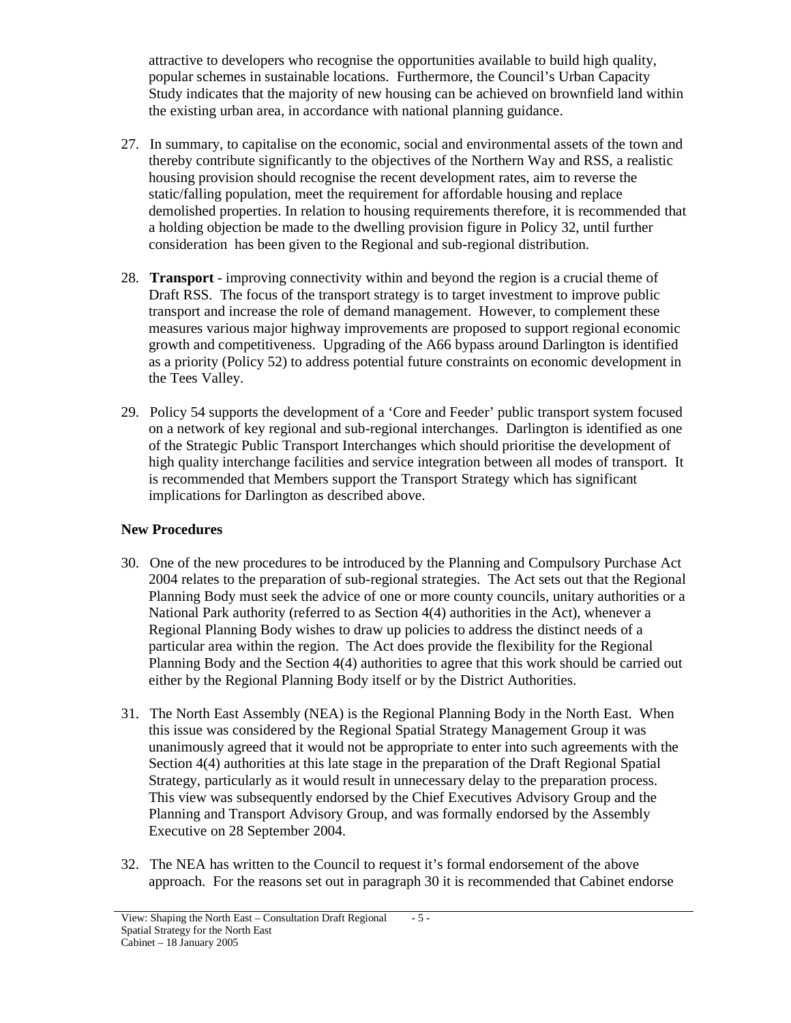attractive to developers who recognise the opportunities available to build high quality, popular schemes in sustainable locations. Furthermore, the Council's Urban Capacity Study indicates that the majority of new housing can be achieved on brownfield land within the existing urban area, in accordance with national planning guidance.

- 27. In summary, to capitalise on the economic, social and environmental assets of the town and thereby contribute significantly to the objectives of the Northern Way and RSS, a realistic housing provision should recognise the recent development rates, aim to reverse the static/falling population, meet the requirement for affordable housing and replace demolished properties. In relation to housing requirements therefore, it is recommended that a holding objection be made to the dwelling provision figure in Policy 32, until further consideration has been given to the Regional and sub-regional distribution.
- 28. **Transport**  improving connectivity within and beyond the region is a crucial theme of Draft RSS. The focus of the transport strategy is to target investment to improve public transport and increase the role of demand management. However, to complement these measures various major highway improvements are proposed to support regional economic growth and competitiveness. Upgrading of the A66 bypass around Darlington is identified as a priority (Policy 52) to address potential future constraints on economic development in the Tees Valley.
- 29. Policy 54 supports the development of a 'Core and Feeder' public transport system focused on a network of key regional and sub-regional interchanges. Darlington is identified as one of the Strategic Public Transport Interchanges which should prioritise the development of high quality interchange facilities and service integration between all modes of transport. It is recommended that Members support the Transport Strategy which has significant implications for Darlington as described above.

### **New Procedures**

- 30. One of the new procedures to be introduced by the Planning and Compulsory Purchase Act 2004 relates to the preparation of sub-regional strategies. The Act sets out that the Regional Planning Body must seek the advice of one or more county councils, unitary authorities or a National Park authority (referred to as Section 4(4) authorities in the Act), whenever a Regional Planning Body wishes to draw up policies to address the distinct needs of a particular area within the region. The Act does provide the flexibility for the Regional Planning Body and the Section 4(4) authorities to agree that this work should be carried out either by the Regional Planning Body itself or by the District Authorities.
- 31. The North East Assembly (NEA) is the Regional Planning Body in the North East. When this issue was considered by the Regional Spatial Strategy Management Group it was unanimously agreed that it would not be appropriate to enter into such agreements with the Section 4(4) authorities at this late stage in the preparation of the Draft Regional Spatial Strategy, particularly as it would result in unnecessary delay to the preparation process. This view was subsequently endorsed by the Chief Executives Advisory Group and the Planning and Transport Advisory Group, and was formally endorsed by the Assembly Executive on 28 September 2004.
- 32. The NEA has written to the Council to request it's formal endorsement of the above approach. For the reasons set out in paragraph 30 it is recommended that Cabinet endorse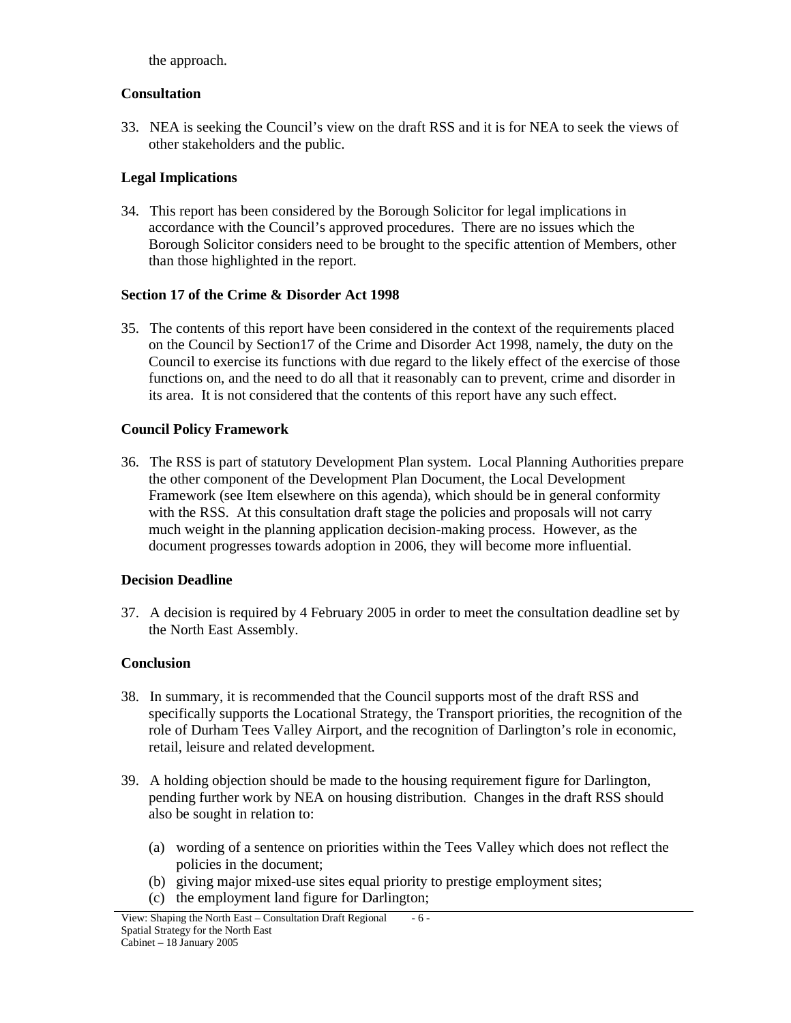the approach.

### **Consultation**

33. NEA is seeking the Council's view on the draft RSS and it is for NEA to seek the views of other stakeholders and the public.

# **Legal Implications**

34. This report has been considered by the Borough Solicitor for legal implications in accordance with the Council's approved procedures. There are no issues which the Borough Solicitor considers need to be brought to the specific attention of Members, other than those highlighted in the report.

## **Section 17 of the Crime & Disorder Act 1998**

35. The contents of this report have been considered in the context of the requirements placed on the Council by Section17 of the Crime and Disorder Act 1998, namely, the duty on the Council to exercise its functions with due regard to the likely effect of the exercise of those functions on, and the need to do all that it reasonably can to prevent, crime and disorder in its area. It is not considered that the contents of this report have any such effect.

## **Council Policy Framework**

36. The RSS is part of statutory Development Plan system. Local Planning Authorities prepare the other component of the Development Plan Document, the Local Development Framework (see Item elsewhere on this agenda), which should be in general conformity with the RSS. At this consultation draft stage the policies and proposals will not carry much weight in the planning application decision-making process. However, as the document progresses towards adoption in 2006, they will become more influential.

### **Decision Deadline**

37. A decision is required by 4 February 2005 in order to meet the consultation deadline set by the North East Assembly.

# **Conclusion**

- 38. In summary, it is recommended that the Council supports most of the draft RSS and specifically supports the Locational Strategy, the Transport priorities, the recognition of the role of Durham Tees Valley Airport, and the recognition of Darlington's role in economic, retail, leisure and related development.
- 39. A holding objection should be made to the housing requirement figure for Darlington, pending further work by NEA on housing distribution. Changes in the draft RSS should also be sought in relation to:
	- (a) wording of a sentence on priorities within the Tees Valley which does not reflect the policies in the document;
	- (b) giving major mixed-use sites equal priority to prestige employment sites;
	- (c) the employment land figure for Darlington;